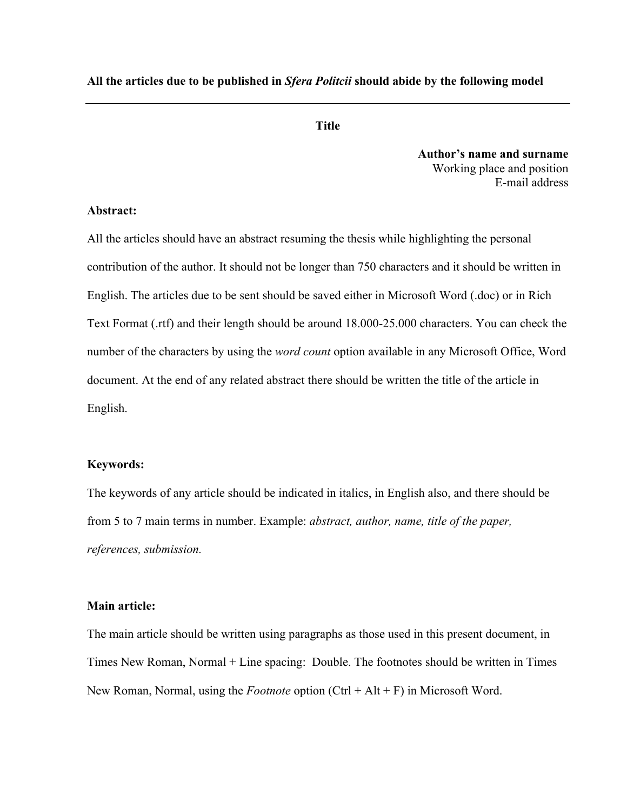**All the articles due to be published in** *Sfera Politcii* **should abide by the following model** 

## **Title**

**Author's name and surname**  Working place and position E-mail address

### **Abstract:**

All the articles should have an abstract resuming the thesis while highlighting the personal contribution of the author. It should not be longer than 750 characters and it should be written in English. The articles due to be sent should be saved either in Microsoft Word (.doc) or in Rich Text Format (.rtf) and their length should be around 18.000-25.000 characters. You can check the number of the characters by using the *word count* option available in any Microsoft Office, Word document. At the end of any related abstract there should be written the title of the article in English.

#### **Keywords:**

The keywords of any article should be indicated in italics, in English also, and there should be from 5 to 7 main terms in number. Example: *abstract, author, name, title of the paper, references, submission.* 

#### **Main article:**

The main article should be written using paragraphs as those used in this present document, in Times New Roman, Normal + Line spacing: Double. The footnotes should be written in Times New Roman, Normal, using the *Footnote* option (Ctrl + Alt + F) in Microsoft Word.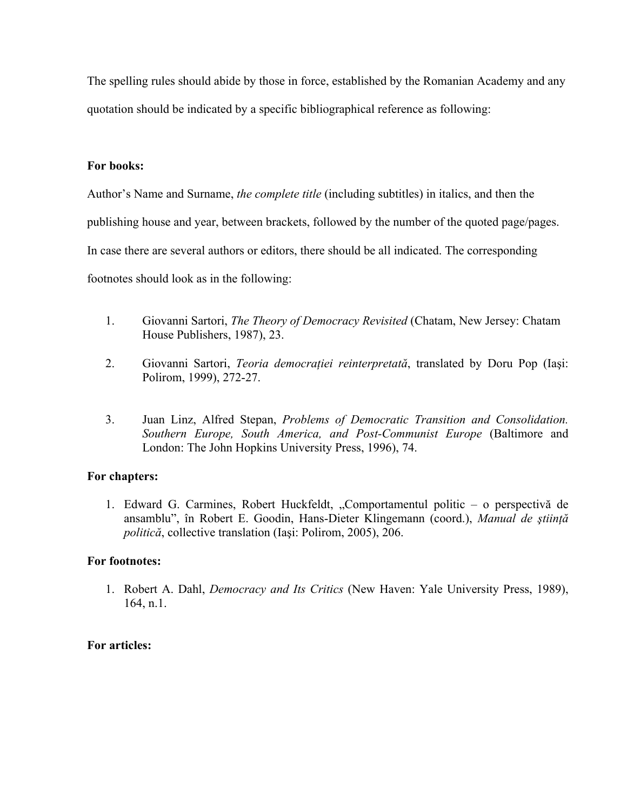The spelling rules should abide by those in force, established by the Romanian Academy and any quotation should be indicated by a specific bibliographical reference as following:

### **For books:**

Author's Name and Surname, *the complete title* (including subtitles) in italics, and then the publishing house and year, between brackets, followed by the number of the quoted page/pages. In case there are several authors or editors, there should be all indicated. The corresponding footnotes should look as in the following:

- 1. Giovanni Sartori, *The Theory of Democracy Revisited* (Chatam, New Jersey: Chatam House Publishers, 1987), 23.
- 2. Giovanni Sartori, *Teoria democraţiei reinterpretată*, translated by Doru Pop (Iaşi: Polirom, 1999), 272-27.
- 3. Juan Linz, Alfred Stepan, *Problems of Democratic Transition and Consolidation. Southern Europe, South America, and Post-Communist Europe* (Baltimore and London: The John Hopkins University Press, 1996), 74.

# **For chapters:**

1. Edward G. Carmines, Robert Huckfeldt, "Comportamentul politic – o perspectivă de ansamblu", în Robert E. Goodin, Hans-Dieter Klingemann (coord.), *Manual de ştiinţă politică*, collective translation (Iaşi: Polirom, 2005), 206.

### **For footnotes:**

1. Robert A. Dahl, *Democracy and Its Critics* (New Haven: Yale University Press, 1989), 164, n.1.

# **For articles:**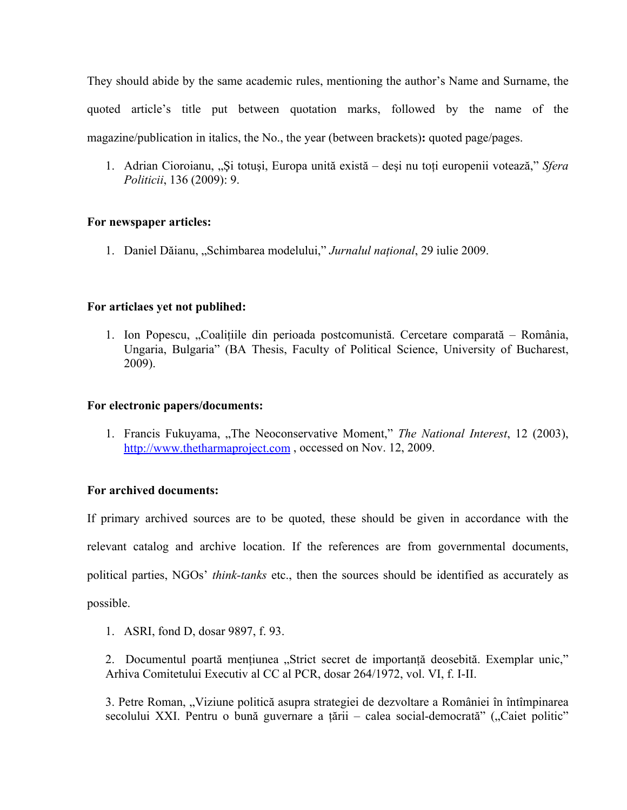They should abide by the same academic rules, mentioning the author's Name and Surname, the quoted article's title put between quotation marks, followed by the name of the magazine/publication in italics, the No., the year (between brackets)**:** quoted page/pages.

1. Adrian Cioroianu, "Si totusi, Europa unită există – deși nu toti europenii votează," *Sfera Politicii*, 136 (2009): 9.

### **For newspaper articles:**

1. Daniel Dăianu, "Schimbarea modelului," *Jurnalul naţional*, 29 iulie 2009.

### **For articlaes yet not publihed:**

1. Ion Popescu, "Coaliţiile din perioada postcomunistă. Cercetare comparată – România, Ungaria, Bulgaria" (BA Thesis, Faculty of Political Science, University of Bucharest, 2009).

### **For electronic papers/documents:**

1. Francis Fukuyama, "The Neoconservative Moment," *The National Interest*, 12 (2003), http://www.thetharmaproject.com, occessed on Nov. 12, 2009.

### **For archived documents:**

If primary archived sources are to be quoted, these should be given in accordance with the relevant catalog and archive location. If the references are from governmental documents, political parties, NGOs' *think-tanks* etc., then the sources should be identified as accurately as possible.

1. ASRI, fond D, dosar 9897, f. 93.

2. Documentul poartă mențiunea "Strict secret de importanță deosebită. Exemplar unic," Arhiva Comitetului Executiv al CC al PCR, dosar 264/1972, vol. VI, f. I-II.

3. Petre Roman, "Viziune politică asupra strategiei de dezvoltare a României în întîmpinarea secolului XXI. Pentru o bună guvernare a țării – calea social-democrată" ("Caiet politic"